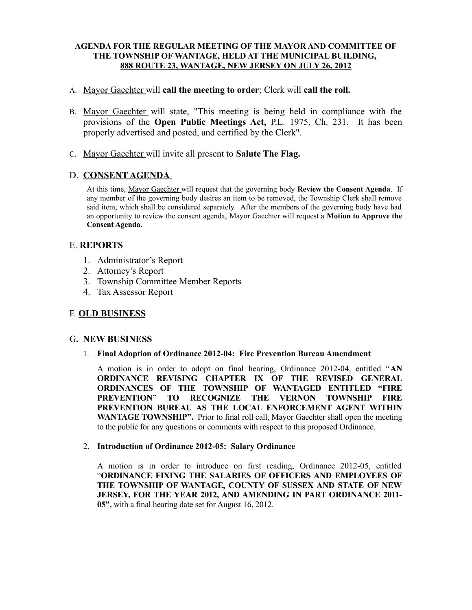## **AGENDA FOR THE REGULAR MEETING OF THE MAYOR AND COMMITTEE OF THE TOWNSHIP OF WANTAGE, HELD AT THE MUNICIPAL BUILDING, 888 ROUTE 23, WANTAGE, NEW JERSEY ON JULY 26, 2012**

## A. Mayor Gaechter will **call the meeting to order**; Clerk will **call the roll.**

- B. Mayor Gaechter will state, "This meeting is being held in compliance with the provisions of the **Open Public Meetings Act,** P.L. 1975, Ch. 231. It has been properly advertised and posted, and certified by the Clerk".
- C. Mayor Gaechter will invite all present to **Salute The Flag.**

# D. **CONSENT AGENDA**

At this time, Mayor Gaechter will request that the governing body **Review the Consent Agenda**. If any member of the governing body desires an item to be removed, the Township Clerk shall remove said item, which shall be considered separately. After the members of the governing body have had an opportunity to review the consent agenda, Mayor Gaechter will request a **Motion to Approve the Consent Agenda.**

## E. **REPORTS**

- 1. Administrator's Report
- 2. Attorney's Report
- 3. Township Committee Member Reports
- 4. Tax Assessor Report

# F. **OLD BUSINESS**

## G**. NEW BUSINESS**

#### 1. **Final Adoption of Ordinance 2012-04: Fire Prevention Bureau Amendment**

A motion is in order to adopt on final hearing, Ordinance 2012-04, entitled "**AN ORDINANCE REVISING CHAPTER IX OF THE REVISED GENERAL ORDINANCES OF THE TOWNSHIP OF WANTAGED ENTITLED "FIRE PREVENTION" TO RECOGNIZE THE VERNON TOWNSHIP FIRE PREVENTION BUREAU AS THE LOCAL ENFORCEMENT AGENT WITHIN WANTAGE TOWNSHIP".** Prior to final roll call, Mayor Gaechter shall open the meeting to the public for any questions or comments with respect to this proposed Ordinance.

#### 2. **Introduction of Ordinance 2012-05: Salary Ordinance**

A motion is in order to introduce on first reading, Ordinance 2012-05, entitled "**ORDINANCE FIXING THE SALARIES OF OFFICERS AND EMPLOYEES OF THE TOWNSHIP OF WANTAGE, COUNTY OF SUSSEX AND STATE OF NEW JERSEY, FOR THE YEAR 2012, AND AMENDING IN PART ORDINANCE 2011- 05",** with a final hearing date set for August 16, 2012.